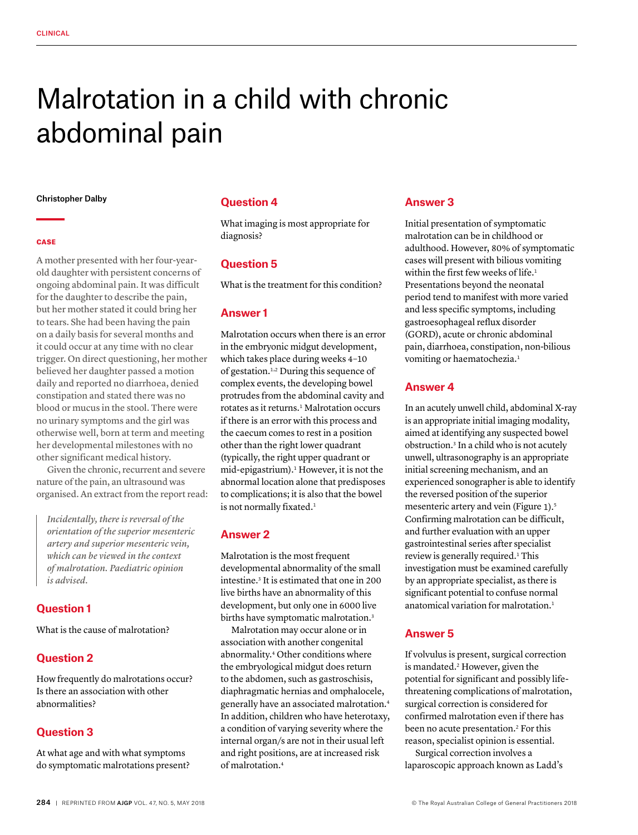# Malrotation in a child with chronic abdominal pain

#### Christopher Dalby

#### **CASE**

A mother presented with her four-yearold daughter with persistent concerns of ongoing abdominal pain. It was difficult for the daughter to describe the pain, but her mother stated it could bring her to tears. She had been having the pain on a daily basis for several months and it could occur at any time with no clear trigger. On direct questioning, her mother believed her daughter passed a motion daily and reported no diarrhoea, denied constipation and stated there was no blood or mucus in the stool. There were no urinary symptoms and the girl was otherwise well, born at term and meeting her developmental milestones with no other significant medical history.

Given the chronic, recurrent and severe nature of the pain, an ultrasound was organised. An extract from the report read:

*Incidentally, there is reversal of the orientation of the superior mesenteric artery and superior mesenteric vein, which can be viewed in the context of malrotation. Paediatric opinion is advised.*

# **Question 1**

What is the cause of malrotation?

# **Question 2**

How frequently do malrotations occur? Is there an association with other abnormalities?

# **Question 3**

At what age and with what symptoms do symptomatic malrotations present?

## **Question 4**

What imaging is most appropriate for diagnosis?

# **Question 5**

What is the treatment for this condition?

# **Answer 1**

Malrotation occurs when there is an error in the embryonic midgut development, which takes place during weeks 4–10 of gestation.1,2 During this sequence of complex events, the developing bowel protrudes from the abdominal cavity and rotates as it returns.<sup>1</sup> Malrotation occurs if there is an error with this process and the caecum comes to rest in a position other than the right lower quadrant (typically, the right upper quadrant or mid-epigastrium).<sup>1</sup> However, it is not the abnormal location alone that predisposes to complications; it is also that the bowel is not normally fixated.<sup>1</sup>

# **Answer 2**

Malrotation is the most frequent developmental abnormality of the small intestine.3 It is estimated that one in 200 live births have an abnormality of this development, but only one in 6000 live births have symptomatic malrotation.<sup>3</sup>

Malrotation may occur alone or in association with another congenital abnormality.4 Other conditions where the embryological midgut does return to the abdomen, such as gastroschisis, diaphragmatic hernias and omphalocele, generally have an associated malrotation.4 In addition, children who have heterotaxy, a condition of varying severity where the internal organ/s are not in their usual left and right positions, are at increased risk of malrotation.4

## **Answer 3**

Initial presentation of symptomatic malrotation can be in childhood or adulthood. However, 80% of symptomatic cases will present with bilious vomiting within the first few weeks of life.<sup>1</sup> Presentations beyond the neonatal period tend to manifest with more varied and less specific symptoms, including gastroesophageal reflux disorder (GORD), acute or chronic abdominal pain, diarrhoea, constipation, non-bilious vomiting or haematochezia.<sup>1</sup>

# **Answer 4**

In an acutely unwell child, abdominal X-ray is an appropriate initial imaging modality, aimed at identifying any suspected bowel obstruction.3 In a child who is not acutely unwell, ultrasonography is an appropriate initial screening mechanism, and an experienced sonographer is able to identify the reversed position of the superior mesenteric artery and vein (Figure 1).5 Confirming malrotation can be difficult, and further evaluation with an upper gastrointestinal series after specialist review is generally required.<sup>1</sup> This investigation must be examined carefully by an appropriate specialist, as there is significant potential to confuse normal anatomical variation for malrotation.1

# **Answer 5**

If volvulus is present, surgical correction is mandated.<sup>2</sup> However, given the potential for significant and possibly lifethreatening complications of malrotation, surgical correction is considered for confirmed malrotation even if there has been no acute presentation.<sup>2</sup> For this reason, specialist opinion is essential.

Surgical correction involves a laparoscopic approach known as Ladd's